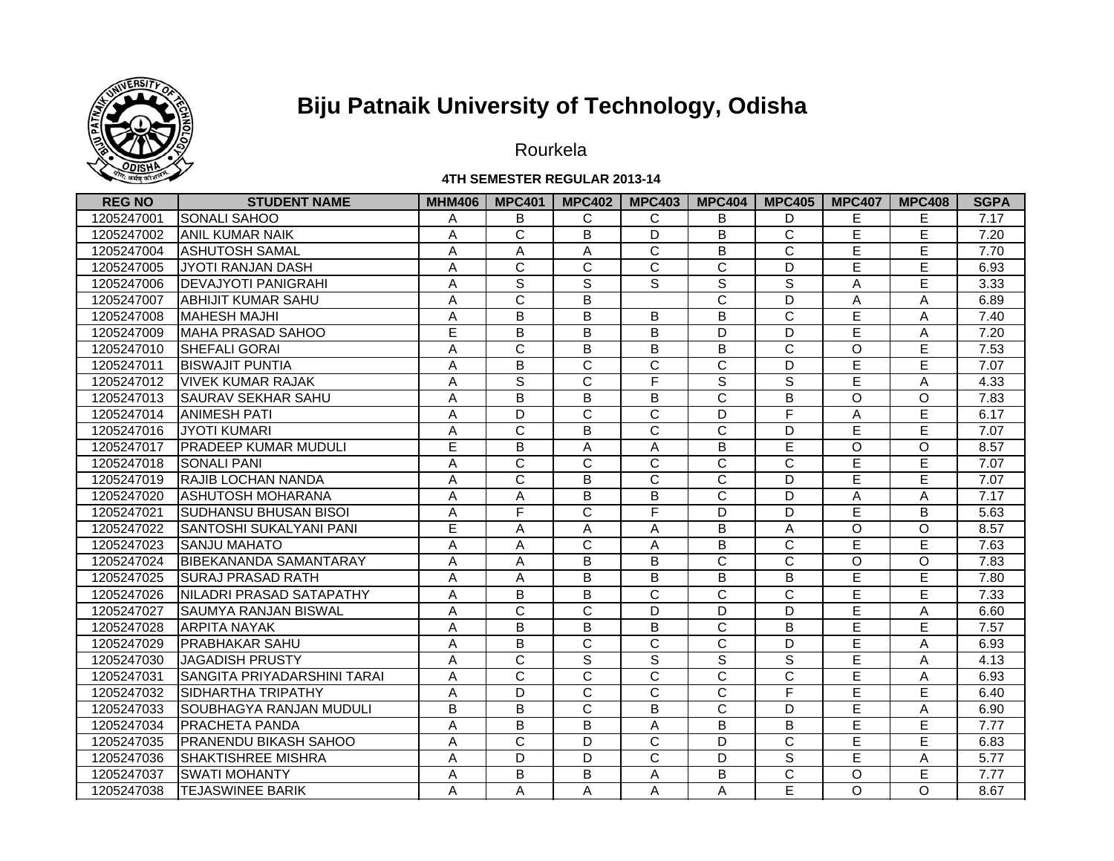

Rourkela

#### **4TH SEMESTER REGULAR 2013-14**

| <b>REG NO</b> | <b>STUDENT NAME</b>             | <b>MHM406</b> | <b>MPC401</b>  | <b>MPC402</b>         | <b>MPC403</b>         | <b>MPC404</b>           | <b>MPC405</b>         | <b>MPC407</b> | <b>MPC408</b> | <b>SGPA</b> |
|---------------|---------------------------------|---------------|----------------|-----------------------|-----------------------|-------------------------|-----------------------|---------------|---------------|-------------|
| 1205247001    | <b>SONALI SAHOO</b>             | Α             | B              | C                     | C                     | B                       | D                     | Е             | Ε             | 7.17        |
| 1205247002    | <b>JANIL KUMAR NAIK</b>         | Α             | C              | B                     | D                     | B                       | C                     | Е             | E             | 7.20        |
| 1205247004    | <b>ASHUTOSH SAMAL</b>           | A             | A              | Α                     | $\mathsf{C}$          | B                       | C                     | Ē             | E             | 7.70        |
| 1205247005    | <b>IJYOTI RANJAN DASH</b>       | A             | C              | C                     | $\mathsf{C}$          | $\mathbf C$             | D                     | E             | E             | 6.93        |
| 1205247006    | <b>DEVAJYOTI PANIGRAHI</b>      | A             | $\mathbf S$    | $\mathbb S$           | S                     | S                       | S                     | A             | E             | 3.33        |
| 1205247007    | <b>JABHIJIT KUMAR SAHU</b>      | Α             | C              | B                     |                       | C                       | D                     | Α             | A             | 6.89        |
| 1205247008    | <b>IMAHESH MAJHI</b>            | Α             | B              | B                     | B                     | B                       | $\mathsf C$           | E             | A             | 7.40        |
| 1205247009    | MAHA PRASAD SAHOO               | E             | B              | B                     | B                     | D                       | D                     | E             | Α             | 7.20        |
| 1205247010    | <b>ISHEFALI GORAI</b>           | Α             | C              | B                     | B                     | B                       | C                     | $\circ$       | Е             | 7.53        |
| 1205247011    | <b>BISWAJIT PUNTIA</b>          | A             | B              | $\mathsf C$           | $\mathsf{C}$          | $\mathbf C$             | D                     | E             | E             | 7.07        |
| 1205247012    | <b>VIVEK KUMAR RAJAK</b>        | A             | $\mathbf S$    | $\mathsf C$           | F                     | $\mathbf S$             | S                     | E             | A             | 4.33        |
| 1205247013    | <b>SAURAV SEKHAR SAHU</b>       | A             | B              | $\overline{B}$        | B                     | $\overline{C}$          | B                     | $\circ$       | $\circ$       | 7.83        |
| 1205247014    | <b>ANIMESH PATI</b>             | A             | D              | $\overline{\text{c}}$ | $\overline{\text{c}}$ | D                       | F                     | Α             | Έ             | 6.17        |
| 1205247016    | <b>JYOTI KUMARI</b>             | A             | $\overline{C}$ | $\overline{B}$        | $\overline{C}$        | $\overline{C}$          | D                     | E             | E             | 7.07        |
| 1205247017    | <b>PRADEEP KUMAR MUDULI</b>     | Ē             | B              | A                     | A                     | B                       | Ē                     | $\Omega$      | $\circ$       | 8.57        |
| 1205247018    | <b>SONALI PANI</b>              | A             | C              | $\overline{\text{c}}$ | $\overline{C}$        | C                       | $\overline{\text{c}}$ | Ē             | Ē             | 7.07        |
| 1205247019    | <b>RAJIB LOCHAN NANDA</b>       | A             | C              | B                     | $\overline{C}$        | C                       | D                     | E             | E             | 7.07        |
| 1205247020    | <b>ASHUTOSH MOHARANA</b>        | A             | A              | B                     | B                     | $\overline{\mathsf{c}}$ | D                     | A             | A             | 7.17        |
| 1205247021    | <b>SUDHANSU BHUSAN BISOI</b>    | A             | F              | $\overline{\text{c}}$ | F                     | D                       | D                     | E             | B             | 5.63        |
| 1205247022    | <b>ISANTOSHI SUKALYANI PANI</b> | E             | A              | Α                     | A                     | B                       | Α                     | O             | $\circ$       | 8.57        |
| 1205247023    | <b>ISANJU MAHATO</b>            | A             | A              | C                     | A                     | B                       | C                     | Ē             | E             | 7.63        |
| 1205247024    | <b>IBIBEKANANDA SAMANTARAY</b>  | A             | A              | B                     | B                     | C                       | C                     | O             | $\circ$       | 7.83        |
| 1205247025    | <b>ISURAJ PRASAD RATH</b>       | A             | A              | B                     | B                     | B                       | B                     | E             | Е             | 7.80        |
| 1205247026    | NILADRI PRASAD SATAPATHY        | A             | B              | B                     | C                     | C                       | C                     | E             | E             | 7.33        |
| 1205247027    | <b>SAUMYA RANJAN BISWAL</b>     | Α             | C              | C                     | D                     | D                       | D                     | E             | A             | 6.60        |
| 1205247028    | <b>ARPITA NAYAK</b>             | A             | B              | $\overline{B}$        | B                     | $\overline{C}$          | B                     | E             | E             | 7.57        |
| 1205247029    | <b>PRABHAKAR SAHU</b>           | Α             | B              | C                     | C                     | C                       | D                     | E             | A             | 6.93        |
| 1205247030    | JAGADISH PRUSTY                 | Α             | $\overline{C}$ | $\overline{s}$        | S                     | $\overline{s}$          | $\overline{s}$        | E             | A             | 4.13        |
| 1205247031    | SANGITA PRIYADARSHINI TARAI     | A             | C              | $\overline{\text{c}}$ | $\mathsf{C}$          | C                       | $\overline{\text{c}}$ | E             | A             | 6.93        |
| 1205247032    | <b>ISIDHARTHA TRIPATHY</b>      | A             | D              | C                     | $\mathsf{C}$          | C                       | F                     | E             | E             | 6.40        |
| 1205247033    | <b>SOUBHAGYA RANJAN MUDULI</b>  | B             | B              | C                     | B                     | C                       | D                     | E             | A             | 6.90        |
| 1205247034    | <b>PRACHETA PANDA</b>           | Α             | B              | B                     | A                     | B                       | B                     | E             | E             | 7.77        |
| 1205247035    | <b>PRANENDU BIKASH SAHOO</b>    | A             | C              | D                     | C                     | D                       | C                     | E             | E             | 6.83        |
| 1205247036    | <b>SHAKTISHREE MISHRA</b>       | A             | D              | D                     | $\mathsf{C}$          | D                       | $\mathbb S$           | E             | Α             | 5.77        |
| 1205247037    | <b>SWATI MOHANTY</b>            | Α             | В              | В                     | Α                     | В                       | C                     | O             | Е             | 7.77        |
| 1205247038    | <b>TEJASWINEE BARIK</b>         | A             | A              | A                     | Α                     | Α                       | E                     | O             | $\Omega$      | 8.67        |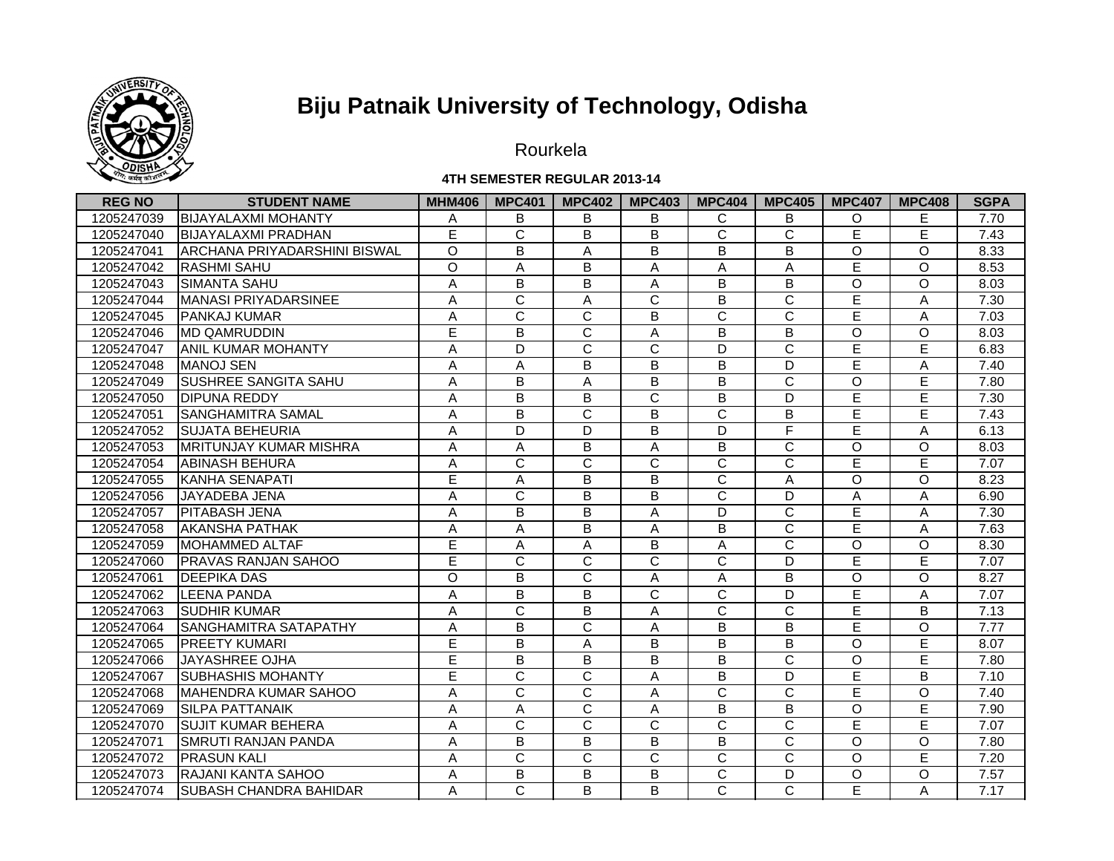

Rourkela

#### **4TH SEMESTER REGULAR 2013-14**

| <b>REG NO</b> | <b>STUDENT NAME</b>            | <b>MHM406</b> | <b>MPC401</b>  | <b>MPC402</b>         | <b>MPC403</b>           | <b>MPC404</b>         | <b>MPC405</b>         | <b>MPC407</b>      | <b>MPC408</b> | <b>SGPA</b> |
|---------------|--------------------------------|---------------|----------------|-----------------------|-------------------------|-----------------------|-----------------------|--------------------|---------------|-------------|
| 1205247039    | <b>BIJAYALAXMI MOHANTY</b>     | A             | B              | B                     | B                       | C                     | B                     | O                  | Е             | 7.70        |
| 1205247040    | <b>BIJAYALAXMI PRADHAN</b>     | E             | C              | B                     | B                       | C                     | $\overline{\text{c}}$ | E                  | E             | 7.43        |
| 1205247041    | ARCHANA PRIYADARSHINI BISWAL   | $\circ$       | B              | A                     | B                       | B                     | B                     | $\circ$            | $\Omega$      | 8.33        |
| 1205247042    | <b>RASHMI SAHU</b>             | $\Omega$      | A              | B                     | A                       | A                     | Α                     | E                  | $\Omega$      | 8.53        |
| 1205247043    | <b>SIMANTA SAHU</b>            | Α             | B              | B                     | Α                       | B                     | B                     | $\Omega$           | $\Omega$      | 8.03        |
| 1205247044    | <b>MANASI PRIYADARSINEE</b>    | A             | C              | A                     | $\mathsf{C}$            | B                     | C                     | E                  | A             | 7.30        |
| 1205247045    | <b>PANKAJ KUMAR</b>            | Α             | C              | $\mathsf{C}$          | B                       | C                     | C                     | E                  | A             | 7.03        |
| 1205247046    | <b>MD QAMRUDDIN</b>            | E             | B              | $\mathsf{C}$          | Α                       | B                     | B                     | $\Omega$           | O             | 8.03        |
| 1205247047    | <b>JANIL KUMAR MOHANTY</b>     | Α             | D              | C                     | C                       | D                     | C                     | E                  | E             | 6.83        |
| 1205247048    | <b>MANOJ SEN</b>               | Α             | Α              | B                     | B                       | B                     | D                     | E                  | A             | 7.40        |
| 1205247049    | <b>SUSHREE SANGITA SAHU</b>    | A             | B              | A                     | B                       | B                     | C                     | O                  | E             | 7.80        |
| 1205247050    | <b>DIPUNA REDDY</b>            | A             | $\overline{B}$ | $\overline{B}$        | $\overline{\mathsf{c}}$ | $\overline{B}$        | D                     | E                  | Ē             | 7.30        |
| 1205247051    | <b>SANGHAMITRA SAMAL</b>       | A             | $\overline{B}$ | $\overline{\text{c}}$ | $\overline{B}$          | $\overline{\text{c}}$ | $\overline{B}$        | Ē                  | Ē             | 7.43        |
| 1205247052    | <b>SUJATA BEHEURIA</b>         | A             | D              | $\overline{D}$        | $\overline{B}$          | D                     | F                     | Ē                  | A             | 6.13        |
| 1205247053    | <b>MRITUNJAY KUMAR MISHRA</b>  | A             | A              | $\overline{B}$        | A                       | $\overline{B}$        | $\overline{\text{c}}$ | $\overline{\circ}$ | $\circ$       | 8.03        |
| 1205247054    | <b>ABINASH BEHURA</b>          | Α             | C              | C                     | $\mathsf{C}$            | C                     | $\overline{\text{c}}$ | Ē                  | Έ             | 7.07        |
| 1205247055    | KANHA SENAPATI                 | Ē             | A              | B                     | B                       | C                     | A                     | $\Omega$           | $\Omega$      | 8.23        |
| 1205247056    | JAYADEBA JENA                  | A             | C              | B                     | B                       | $\mathsf{C}$          | D                     | Α                  | A             | 6.90        |
| 1205247057    | <b>PITABASH JENA</b>           | A             | B              | B                     | Α                       | D                     | $\overline{\text{c}}$ | E                  | Α             | 7.30        |
| 1205247058    | <b>AKANSHA PATHAK</b>          | A             | A              | B                     | Α                       | B                     | $\overline{\text{c}}$ | Ē                  | A             | 7.63        |
| 1205247059    | <b>MOHAMMED ALTAF</b>          | E             | Α              | Α                     | B                       | A                     | $\overline{\text{c}}$ | $\Omega$           | O             | 8.30        |
| 1205247060    | <b>IPRAVAS RANJAN SAHOO</b>    | Ē             | C              | C                     | $\overline{C}$          | C                     | D                     | E                  | Ē             | 7.07        |
| 1205247061    | <b>IDEEPIKA DAS</b>            | $\circ$       | B              | C                     | A                       | A                     | B                     | $\Omega$           | $\circ$       | 8.27        |
| 1205247062    | <b>ILEENA PANDA</b>            | A             | B              | B                     | C                       | C                     | D                     | E                  | Α             | 7.07        |
| 1205247063    | <b>SUDHIR KUMAR</b>            | A             | C              | B                     | Α                       | C                     | C                     | Ē                  | B             | 7.13        |
| 1205247064    | <b>SANGHAMITRA SATAPATHY</b>   | A             | B              | $\overline{C}$        | A                       | B                     | $\overline{B}$        | Ē                  | $\circ$       | 7.77        |
| 1205247065    | <b>PREETY KUMARI</b>           | Ē             | B              | А                     | B                       | $\overline{B}$        | B                     | $\circ$            | Έ             | 8.07        |
| 1205247066    | JAYASHREE OJHA                 | E             | B              | $\overline{B}$        | B                       | B                     | $\overline{\text{c}}$ | $\circ$            | Ē             | 7.80        |
| 1205247067    | <b>SUBHASHIS MOHANTY</b>       | E             | $\overline{C}$ | $\overline{\text{c}}$ | Α                       | B                     | D                     | Ē                  | B             | 7.10        |
| 1205247068    | <b>IMAHENDRA KUMAR SAHOO</b>   | A             | C              | C                     | A                       | C                     | C                     | E                  | $\circ$       | 7.40        |
| 1205247069    | <b>SILPA PATTANAIK</b>         | A             | A              | $\mathsf{C}$          | A                       | B                     | B                     | $\circ$            | E             | 7.90        |
| 1205247070    | <b>ISUJIT KUMAR BEHERA</b>     | Α             | C              | C                     | C                       | $\mathbf C$           | C                     | E                  | E             | 7.07        |
| 1205247071    | ISMRUTI RANJAN PANDA           | A             | B              | B                     | B                       | B                     | C                     | $\circ$            | $\circ$       | 7.80        |
| 1205247072    | <b>PRASUN KALI</b>             | Α             | $\mathsf{C}$   | C                     | C                       | C                     | C                     | $\Omega$           | E             | 7.20        |
| 1205247073    | <b>IRAJANI KANTA SAHOO</b>     | Α             | B              | В                     | B                       | C                     | D                     | O                  | $\circ$       | 7.57        |
| 1205247074    | <b>ISUBASH CHANDRA BAHIDAR</b> | A             | C              | B                     | B                       | C                     | C                     | E                  | A             | 7.17        |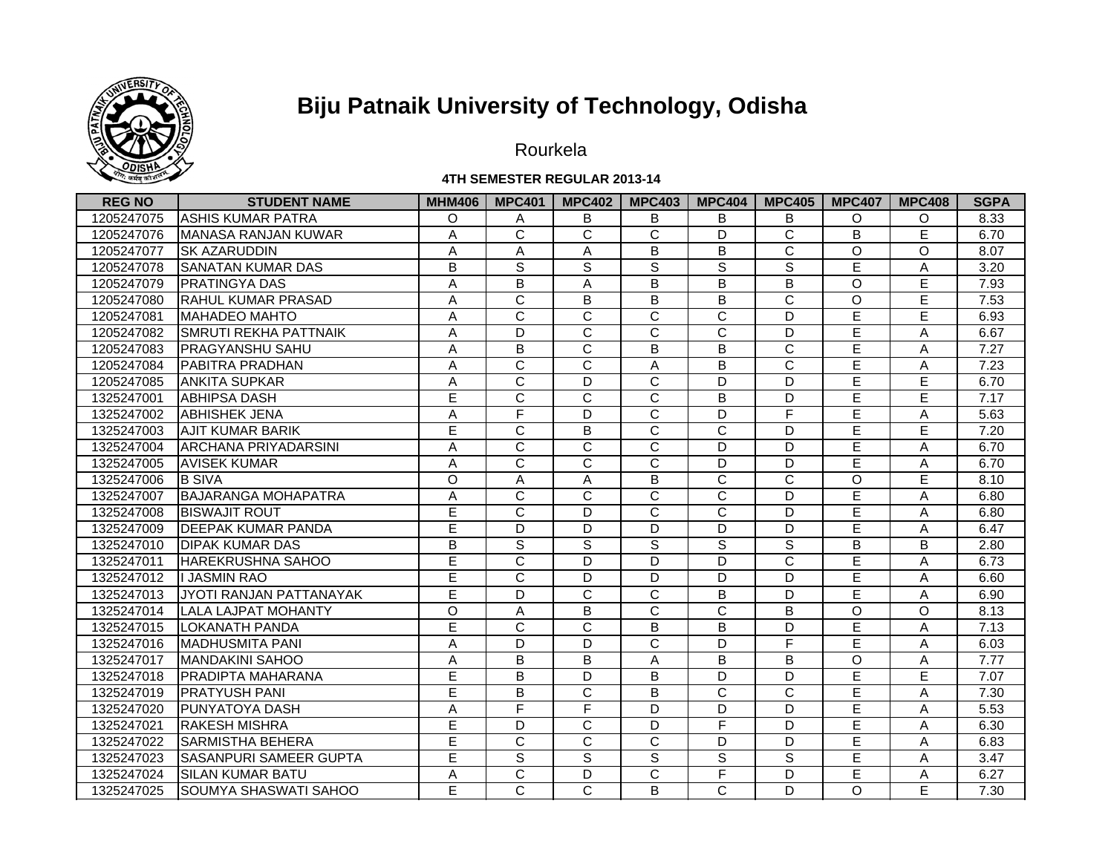

Rourkela

#### **4TH SEMESTER REGULAR 2013-14**

| <b>REG NO</b> | <b>STUDENT NAME</b>            | <b>MHM406</b> | <b>MPC401</b>  | <b>MPC402</b>         | <b>MPC403</b>         | <b>MPC404</b>           | <b>MPC405</b>         | <b>MPC407</b> | <b>MPC408</b> | <b>SGPA</b> |
|---------------|--------------------------------|---------------|----------------|-----------------------|-----------------------|-------------------------|-----------------------|---------------|---------------|-------------|
| 1205247075    | <b>ASHIS KUMAR PATRA</b>       | $\Omega$      | A              | B                     | B                     | B                       | B                     | O             | $\Omega$      | 8.33        |
| 1205247076    | MANASA RANJAN KUWAR            | Α             | C              | C                     | $\mathsf{C}$          | D                       | $\overline{\text{c}}$ | B             | E             | 6.70        |
| 1205247077    | <b>SK AZARUDDIN</b>            | A             | A              | Α                     | B                     | B                       | $\overline{\text{c}}$ | $\circ$       | $\Omega$      | 8.07        |
| 1205247078    | <b>SANATAN KUMAR DAS</b>       | B             | S              | $\mathbb S$           | $\mathsf{s}$          | $\mathbf S$             | S                     | E             | Α             | 3.20        |
| 1205247079    | <b>PRATINGYA DAS</b>           | A             | B              | Α                     | B                     | B                       | B                     | $\circ$       | E             | 7.93        |
| 1205247080    | <b>IRAHUL KUMAR PRASAD</b>     | Α             | C              | B                     | B                     | B                       | $\mathsf C$           | $\circ$       | E             | 7.53        |
| 1205247081    | <b>IMAHADEO MAHTO</b>          | Α             | C              | $\mathsf C$           | $\mathsf{C}$          | C                       | D                     | E             | E             | 6.93        |
| 1205247082    | <b>SMRUTI REKHA PATTNAIK</b>   | A             | D              | $\mathsf C$           | C                     | C                       | D                     | E             | A             | 6.67        |
| 1205247083    | <b>PRAGYANSHU SAHU</b>         | A             | B              | $\mathsf C$           | B                     | B                       | C                     | E             | Α             | 7.27        |
| 1205247084    | <b>PABITRA PRADHAN</b>         | A             | $\mathsf{C}$   | $\mathsf C$           | Α                     | B                       | $\mathsf C$           | E             | Α             | 7.23        |
| 1205247085    | <b>ANKITA SUPKAR</b>           | A             | $\mathsf{C}$   | D                     | $\mathsf{C}$          | D                       | D                     | E             | E             | 6.70        |
| 1325247001    | <b>ABHIPSA DASH</b>            | Ē             | $\overline{C}$ | $\overline{\text{c}}$ | $\overline{\text{c}}$ | B                       | D                     | Ē             | Ē             | 7.17        |
| 1325247002    | <b>ABHISHEK JENA</b>           | A             | F              | D                     | $\overline{\text{c}}$ | D                       | F                     | Ē             | Α             | 5.63        |
| 1325247003    | <b>JAJIT KUMAR BARIK</b>       | E             | $\overline{C}$ | $\overline{B}$        | $\overline{C}$        | $\overline{\mathsf{c}}$ | D                     | Ē             | Ē             | 7.20        |
| 1325247004    | <b>JARCHANA PRIYADARSINI</b>   | A             | C              | $\overline{\text{c}}$ | $\overline{C}$        | D                       | D                     | Ē             | A             | 6.70        |
| 1325247005    | <b>AVISEK KUMAR</b>            | A             | $\overline{C}$ | $\overline{\text{c}}$ | $\overline{C}$        | D                       | D                     | Ē             | A             | 6.70        |
| 1325247006    | <b>B SIVA</b>                  | $\circ$       | A              | Α                     | B                     | C                       | C                     | O             | E             | 8.10        |
| 1325247007    | <b>BAJARANGA MOHAPATRA</b>     | A             | $\overline{C}$ | $\overline{\text{c}}$ | $\overline{C}$        | C                       | D                     | Ē             | A             | 6.80        |
| 1325247008    | <b>BISWAJIT ROUT</b>           | E             | $\overline{C}$ | D                     | $\overline{C}$        | $\overline{\mathsf{c}}$ | D                     | E             | A             | 6.80        |
| 1325247009    | <b>IDEEPAK KUMAR PANDA</b>     | Е             | D              | D                     | D                     | D                       | D                     | E             | A             | 6.47        |
| 1325247010    | <b>IDIPAK KUMAR DAS</b>        | B             | $\overline{s}$ | $\overline{s}$        | S                     | $\overline{s}$          | S                     | B             | B             | 2.80        |
| 1325247011    | <b>IHAREKRUSHNA SAHOO</b>      | E             | C              | D                     | D                     | D                       | C                     | E             | A             | 6.73        |
| 1325247012    | <b>II JASMIN RAO</b>           | Е             | C              | D                     | D                     | D                       | D                     | E             | A             | 6.60        |
| 1325247013    | <b>JYOTI RANJAN PATTANAYAK</b> | Е             | D              | C                     | C                     | B                       | D                     | E             | A             | 6.90        |
| 1325247014    | <b>LALA LAJPAT MOHANTY</b>     | $\circ$       | A              | B                     | C                     | C                       | В                     | O             | O             | 8.13        |
| 1325247015    | LOKANATH PANDA                 | Ē             | $\overline{C}$ | $\overline{\text{c}}$ | B                     | B                       | D                     | Ē             | A             | 7.13        |
| 1325247016    | <b>MADHUSMITA PANI</b>         | Α             | D              | D                     | $\overline{C}$        | D                       | F                     | E             | A             | 6.03        |
| 1325247017    | <b>MANDAKINI SAHOO</b>         | A             | B              | B                     | A                     | B                       | B                     | O             | Α             | 7.77        |
| 1325247018    | <b>PRADIPTA MAHARANA</b>       | E             | B              | D                     | B                     | D                       | D                     | Ē             | E             | 7.07        |
| 1325247019    | <b>PRATYUSH PANI</b>           | E             | B              | C                     | B                     | C                       | C                     | E             | Α             | 7.30        |
| 1325247020    | <b>PUNYATOYA DASH</b>          | Α             | F              | F                     | D                     | D                       | D                     | E             | A             | 5.53        |
| 1325247021    | <b>RAKESH MISHRA</b>           | E             | D              | C                     | D                     | F                       | D                     | E             | Α             | 6.30        |
| 1325247022    | <b>SARMISTHA BEHERA</b>        | E             | C              | C                     | $\mathsf{C}$          | D                       | D                     | E             | Α             | 6.83        |
| 1325247023    | <b>SASANPURI SAMEER GUPTA</b>  | E             | $\mathbf S$    | $\mathbb S$           | S                     | $\mathbf S$             | $\mathbb S$           | E             | Α             | 3.47        |
| 1325247024    | <b>SILAN KUMAR BATU</b>        | Α             | C              | D                     | $\mathsf{C}$          | F                       | D                     | E             | Α             | 6.27        |
| 1325247025    | <b>SOUMYA SHASWATI SAHOO</b>   | E             | C              | $\mathsf{C}$          | B                     | C                       | D                     | O             | E             | 7.30        |